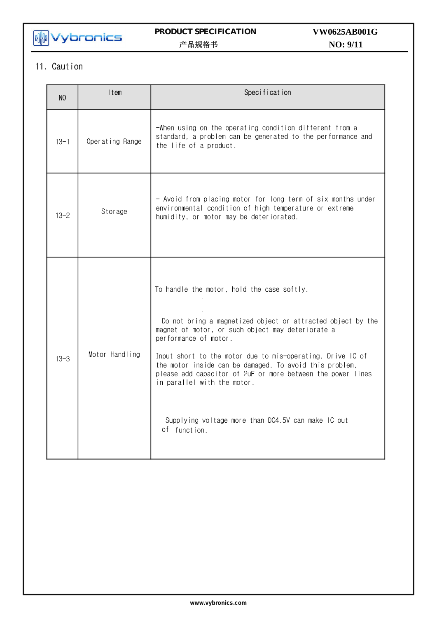

## **PRODUCT SPECIFICATION**  产品规格书

# **NO: 9/11 VW0625AB001G**

## 11. Caution

| N <sub>O</sub> | Item            | Specification                                                                                                                                                                                                                                                                                                                                                                                                                                                                        |
|----------------|-----------------|--------------------------------------------------------------------------------------------------------------------------------------------------------------------------------------------------------------------------------------------------------------------------------------------------------------------------------------------------------------------------------------------------------------------------------------------------------------------------------------|
| $13 - 1$       | Operating Range | -When using on the operating condition different from a<br>standard, a problem can be generated to the performance and<br>the life of a product.                                                                                                                                                                                                                                                                                                                                     |
| $13 - 2$       | Storage         | - Avoid from placing motor for long term of six months under<br>environmental condition of high temperature or extreme<br>humidity, or motor may be deteriorated.                                                                                                                                                                                                                                                                                                                    |
| $13 - 3$       | Motor Handling  | To handle the motor, hold the case softly.<br>Do not bring a magnetized object or attracted object by the<br>magnet of motor, or such object may deteriorate a<br>performance of motor.<br>Input short to the motor due to mis-operating, Drive IC of<br>the motor inside can be damaged. To avoid this problem,<br>please add capacitor of 2uF or more between the power lines<br>in parallel with the motor.<br>Supplying voltage more than DC4.5V can make IC out<br>of function. |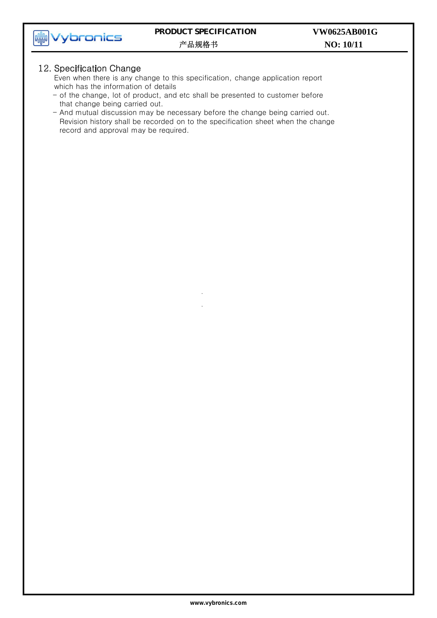

### **PRODUCT SPECIFICATION**  产品规格书

#### 12. Specification Change

Even when there is any change to this specification, change application report which has the information of details

- of the change, lot of product, and etc shall be presented to customer before that change being carried out.
- And mutual discussion may be necessary before the change being carried out. Revision history shall be recorded on to the specification sheet when the change record and approval may be required.